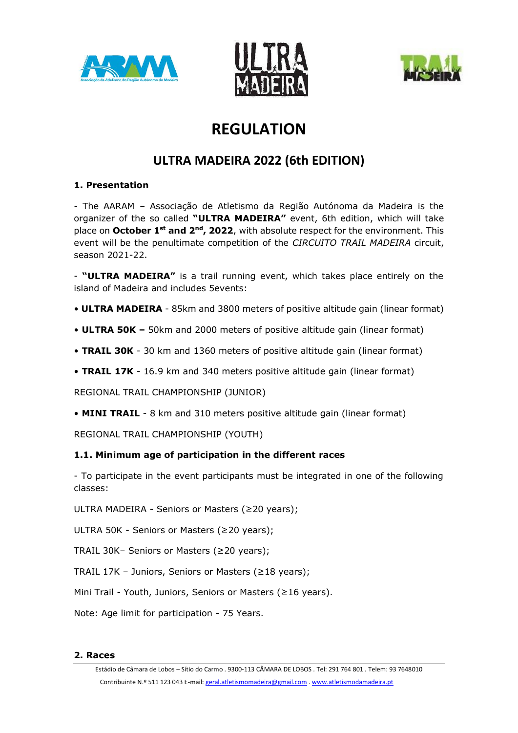





# **REGULATION**

## **ULTRA MADEIRA 2022 (6th EDITION)**

## **1. Presentation**

- The AARAM – Associação de Atletismo da Região Autónoma da Madeira is the organizer of the so called **"ULTRA MADEIRA"** event, 6th edition, which will take place on October 1<sup>st</sup> and 2<sup>nd</sup>, 2022, with absolute respect for the environment. This event will be the penultimate competition of the *CIRCUITO TRAIL MADEIRA* circuit, season 2021-22.

- **"ULTRA MADEIRA"** is a trail running event, which takes place entirely on the island of Madeira and includes 5events:

- **ULTRA MADEIRA** 85km and 3800 meters of positive altitude gain (linear format)
- **ULTRA 50K –** 50km and 2000 meters of positive altitude gain (linear format)
- **TRAIL 30K** 30 km and 1360 meters of positive altitude gain (linear format)
- **TRAIL 17K** 16.9 km and 340 meters positive altitude gain (linear format)

REGIONAL TRAIL CHAMPIONSHIP (JUNIOR)

• **MINI TRAIL** - 8 km and 310 meters positive altitude gain (linear format)

REGIONAL TRAIL CHAMPIONSHIP (YOUTH)

## **1.1. Minimum age of participation in the different races**

- To participate in the event participants must be integrated in one of the following classes:

ULTRA MADEIRA - Seniors or Masters (≥20 years);

ULTRA 50K - Seniors or Masters (≥20 years);

TRAIL 30K– Seniors or Masters (≥20 years);

TRAIL 17K – Juniors, Seniors or Masters (≥18 years);

Mini Trail - Youth, Juniors, Seniors or Masters (≥16 years).

Note: Age limit for participation - 75 Years.

#### **2. Races**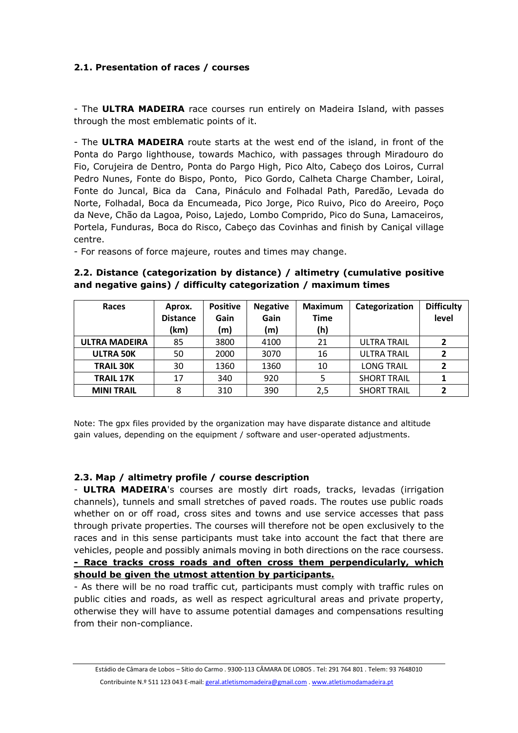## **2.1. Presentation of races / courses**

- The **ULTRA MADEIRA** race courses run entirely on Madeira Island, with passes through the most emblematic points of it.

- The **ULTRA MADEIRA** route starts at the west end of the island, in front of the Ponta do Pargo lighthouse, towards Machico, with passages through Miradouro do Fio, Corujeira de Dentro, Ponta do Pargo High, Pico Alto, Cabeço dos Loiros, Curral Pedro Nunes, Fonte do Bispo, Ponto, Pico Gordo, Calheta Charge Chamber, Loiral, Fonte do Juncal, Bica da Cana, Pináculo and Folhadal Path, Paredão, Levada do Norte, Folhadal, Boca da Encumeada, Pico Jorge, Pico Ruivo, Pico do Areeiro, Poço da Neve, Chão da Lagoa, Poiso, Lajedo, Lombo Comprido, Pico do Suna, Lamaceiros, Portela, Funduras, Boca do Risco, Cabeço das Covinhas and finish by Caniçal village centre.

- For reasons of force majeure, routes and times may change.

## **2.2. Distance (categorization by distance) / altimetry (cumulative positive and negative gains) / difficulty categorization / maximum times**

| Races                | Aprox.<br><b>Distance</b> | <b>Positive</b><br>Gain | <b>Negative</b><br>Gain | <b>Maximum</b><br><b>Time</b> | Categorization     | <b>Difficulty</b><br>level |
|----------------------|---------------------------|-------------------------|-------------------------|-------------------------------|--------------------|----------------------------|
|                      | (km)                      | (m)                     | (m)                     | (h)                           |                    |                            |
| <b>ULTRA MADEIRA</b> | 85                        | 3800                    | 4100                    | 21                            | <b>ULTRA TRAIL</b> | $\overline{2}$             |
| <b>ULTRA 50K</b>     | 50                        | 2000                    | 3070                    | 16                            | <b>ULTRA TRAIL</b> | 2                          |
| <b>TRAIL 30K</b>     | 30                        | 1360                    | 1360                    | 10                            | <b>LONG TRAIL</b>  | $\overline{2}$             |
| <b>TRAIL 17K</b>     | 17                        | 340                     | 920                     |                               | <b>SHORT TRAIL</b> |                            |
| <b>MINI TRAIL</b>    | 8                         | 310                     | 390                     | 2,5                           | <b>SHORT TRAIL</b> |                            |

Note: The gpx files provided by the organization may have disparate distance and altitude gain values, depending on the equipment / software and user-operated adjustments.

## **2.3. Map / altimetry profile / course description**

- **ULTRA MADEIRA**'s courses are mostly dirt roads, tracks, levadas (irrigation channels), tunnels and small stretches of paved roads. The routes use public roads whether on or off road, cross sites and towns and use service accesses that pass through private properties. The courses will therefore not be open exclusively to the races and in this sense participants must take into account the fact that there are vehicles, people and possibly animals moving in both directions on the race coursess. **- Race tracks cross roads and often cross them perpendicularly, which should be given the utmost attention by participants.**

- As there will be no road traffic cut, participants must comply with traffic rules on public cities and roads, as well as respect agricultural areas and private property, otherwise they will have to assume potential damages and compensations resulting from their non-compliance.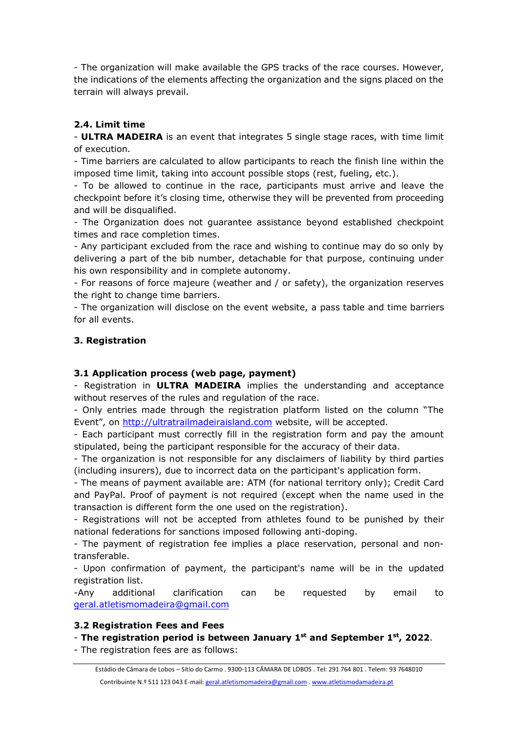- The organization will make available the GPS tracks of the race courses. However, the indications of the elements affecting the organization and the signs placed on the terrain will always prevail.

## **2.4. Limit time**

- **ULTRA MADEIRA** is an event that integrates 5 single stage races, with time limit of execution.

- Time barriers are calculated to allow participants to reach the finish line within the imposed time limit, taking into account possible stops (rest, fueling, etc.).

- To be allowed to continue in the race, participants must arrive and leave the checkpoint before it's closing time, otherwise they will be prevented from proceeding and will be disqualified.

- The Organization does not guarantee assistance beyond established checkpoint times and race completion times.

- Any participant excluded from the race and wishing to continue may do so only by delivering a part of the bib number, detachable for that purpose, continuing under his own responsibility and in complete autonomy.

- For reasons of force majeure (weather and / or safety), the organization reserves the right to change time barriers.

- The organization will disclose on the event website, a pass table and time barriers for all events.

## **3. Registration**

## **3.1 Application process (web page, payment)**

- Registration in **ULTRA MADEIRA** implies the understanding and acceptance without reserves of the rules and regulation of the race.

- Only entries made through the registration platform listed on the column "The Event", on [http://ultratrailmadeiraisland.com](http://ultratrailmadeiraisland.com/) website, will be accepted.

- Each participant must correctly fill in the registration form and pay the amount stipulated, being the participant responsible for the accuracy of their data.

- The organization is not responsible for any disclaimers of liability by third parties (including insurers), due to incorrect data on the participant's application form.

- The means of payment available are: ATM (for national territory only); Credit Card and PayPal. Proof of payment is not required (except when the name used in the transaction is different form the one used on the registration).

- Registrations will not be accepted from athletes found to be punished by their national federations for sanctions imposed following anti-doping.

- The payment of registration fee implies a place reservation, personal and nontransferable.

- Upon confirmation of payment, the participant's name will be in the updated registration list.

-Any additional clarification can be requested by email to [geral.atletismomadeira@gmail.com](mailto:geral.atletismomadeira@gmail.com)

## **3.2 Registration Fees and Fees**

## - **The registration period is between January 1 st and September 1 st, 2022**.

- The registration fees are as follows: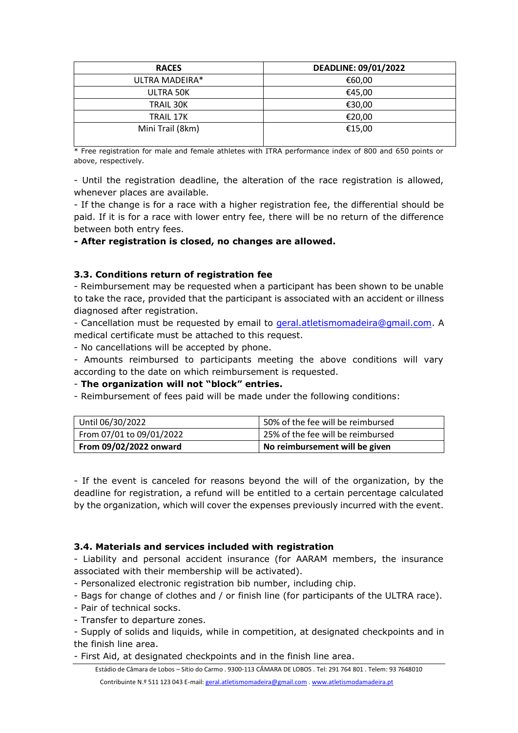| <b>RACES</b>     | <b>DEADLINE: 09/01/2022</b> |
|------------------|-----------------------------|
| ULTRA MADEIRA*   | €60,00                      |
| ULTRA 50K        | €45,00                      |
| TRAIL 30K        | €30,00                      |
| TRAIL 17K        | €20,00                      |
| Mini Trail (8km) | €15,00                      |

\* Free registration for male and female athletes with ITRA performance index of 800 and 650 points or above, respectively.

- Until the registration deadline, the alteration of the race registration is allowed, whenever places are available.

- If the change is for a race with a higher registration fee, the differential should be paid. If it is for a race with lower entry fee, there will be no return of the difference between both entry fees.

**- After registration is closed, no changes are allowed.**

## **3.3. Conditions return of registration fee**

- Reimbursement may be requested when a participant has been shown to be unable to take the race, provided that the participant is associated with an accident or illness diagnosed after registration.

- Cancellation must be requested by email to [geral.atletismomadeira@gmail.com.](mailto:geral.atletismomadeira@gmail.com) A medical certificate must be attached to this request.

- No cancellations will be accepted by phone.

- Amounts reimbursed to participants meeting the above conditions will vary according to the date on which reimbursement is requested.

- **The organization will not "block" entries.**

- Reimbursement of fees paid will be made under the following conditions:

| Until 06/30/2022         | 50% of the fee will be reimbursed |  |
|--------------------------|-----------------------------------|--|
| From 07/01 to 09/01/2022 | 25% of the fee will be reimbursed |  |
| From 09/02/2022 onward   | No reimbursement will be given    |  |

- If the event is canceled for reasons beyond the will of the organization, by the deadline for registration, a refund will be entitled to a certain percentage calculated by the organization, which will cover the expenses previously incurred with the event.

## **3.4. Materials and services included with registration**

- Liability and personal accident insurance (for AARAM members, the insurance associated with their membership will be activated).

- Personalized electronic registration bib number, including chip.

- Bags for change of clothes and / or finish line (for participants of the ULTRA race).

- Pair of technical socks.

- Transfer to departure zones.

- Supply of solids and liquids, while in competition, at designated checkpoints and in the finish line area.

- First Aid, at designated checkpoints and in the finish line area.

Estádio de Câmara de Lobos – Sítio do Carmo . 9300-113 CÂMARA DE LOBOS . Tel: 291 764 801 . Telem: 93 7648010

Contribuinte N.º 511 123 043 E-mail[: geral.atletismomadeira@gmail.com](mailto:geral.atletismomadeira@gmail.com) [. www.atletismodamadeira.pt](http://www.atletismodamadeira.pt/)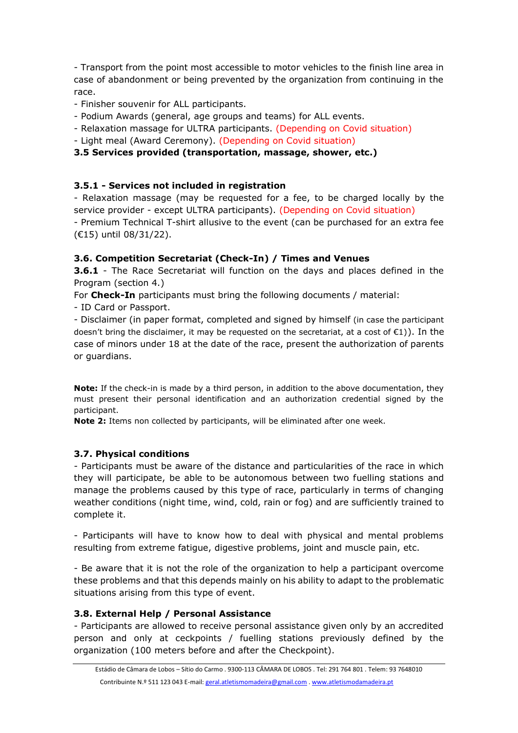- Transport from the point most accessible to motor vehicles to the finish line area in case of abandonment or being prevented by the organization from continuing in the race.

- Finisher souvenir for ALL participants.
- Podium Awards (general, age groups and teams) for ALL events.
- Relaxation massage for ULTRA participants. (Depending on Covid situation)
- Light meal (Award Ceremony). (Depending on Covid situation)

## **3.5 Services provided (transportation, massage, shower, etc.)**

## **3.5.1 - Services not included in registration**

- Relaxation massage (may be requested for a fee, to be charged locally by the service provider - except ULTRA participants). (Depending on Covid situation)

- Premium Technical T-shirt allusive to the event (can be purchased for an extra fee (€15) until 08/31/22).

## **3.6. Competition Secretariat (Check-In) / Times and Venues**

**3.6.1** - The Race Secretariat will function on the days and places defined in the Program (section 4.)

For **Check-In** participants must bring the following documents / material:

- ID Card or Passport.

- Disclaimer (in paper format, completed and signed by himself (in case the participant doesn't bring the disclaimer, it may be requested on the secretariat, at a cost of €1)). In the case of minors under 18 at the date of the race, present the authorization of parents or guardians.

**Note:** If the check-in is made by a third person, in addition to the above documentation, they must present their personal identification and an authorization credential signed by the participant.

**Note 2:** Items non collected by participants, will be eliminated after one week.

## **3.7. Physical conditions**

- Participants must be aware of the distance and particularities of the race in which they will participate, be able to be autonomous between two fuelling stations and manage the problems caused by this type of race, particularly in terms of changing weather conditions (night time, wind, cold, rain or fog) and are sufficiently trained to complete it.

- Participants will have to know how to deal with physical and mental problems resulting from extreme fatigue, digestive problems, joint and muscle pain, etc.

- Be aware that it is not the role of the organization to help a participant overcome these problems and that this depends mainly on his ability to adapt to the problematic situations arising from this type of event.

## **3.8. External Help / Personal Assistance**

- Participants are allowed to receive personal assistance given only by an accredited person and only at ceckpoints / fuelling stations previously defined by the organization (100 meters before and after the Checkpoint).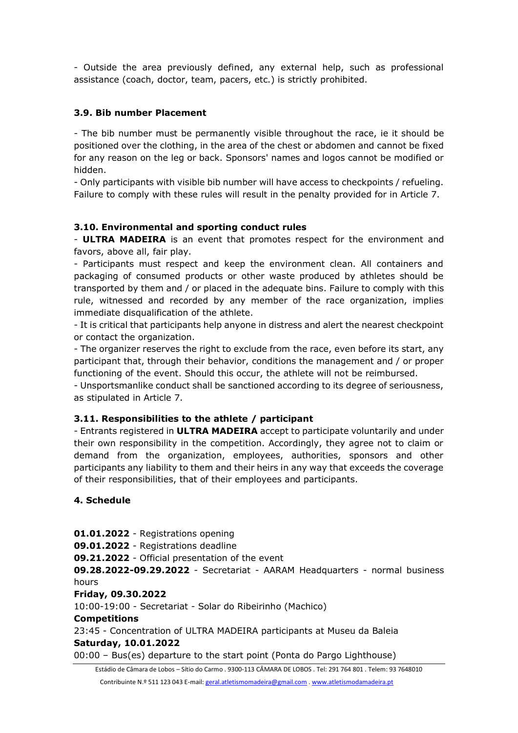- Outside the area previously defined, any external help, such as professional assistance (coach, doctor, team, pacers, etc.) is strictly prohibited.

## **3.9. Bib number Placement**

- The bib number must be permanently visible throughout the race, ie it should be positioned over the clothing, in the area of the chest or abdomen and cannot be fixed for any reason on the leg or back. Sponsors' names and logos cannot be modified or hidden.

- Only participants with visible bib number will have access to checkpoints / refueling. Failure to comply with these rules will result in the penalty provided for in Article 7.

#### **3.10. Environmental and sporting conduct rules**

- **ULTRA MADEIRA** is an event that promotes respect for the environment and favors, above all, fair play.

- Participants must respect and keep the environment clean. All containers and packaging of consumed products or other waste produced by athletes should be transported by them and / or placed in the adequate bins. Failure to comply with this rule, witnessed and recorded by any member of the race organization, implies immediate disqualification of the athlete.

- It is critical that participants help anyone in distress and alert the nearest checkpoint or contact the organization.

- The organizer reserves the right to exclude from the race, even before its start, any participant that, through their behavior, conditions the management and / or proper functioning of the event. Should this occur, the athlete will not be reimbursed.

- Unsportsmanlike conduct shall be sanctioned according to its degree of seriousness, as stipulated in Article 7.

#### **3.11. Responsibilities to the athlete / participant**

- Entrants registered in **ULTRA MADEIRA** accept to participate voluntarily and under their own responsibility in the competition. Accordingly, they agree not to claim or demand from the organization, employees, authorities, sponsors and other participants any liability to them and their heirs in any way that exceeds the coverage of their responsibilities, that of their employees and participants.

#### **4. Schedule**

Estádio de Câmara de Lobos – Sítio do Carmo . 9300-113 CÂMARA DE LOBOS . Tel: 291 764 801 . Telem: 93 7648010 **01.01.2022** - Registrations opening **09.01.2022** - Registrations deadline **09.21.2022** - Official presentation of the event **09.28.2022-09.29.2022** - Secretariat - AARAM Headquarters - normal business hours **Friday, 09.30.2022** 10:00-19:00 - Secretariat - Solar do Ribeirinho (Machico) **Competitions** 23:45 - Concentration of ULTRA MADEIRA participants at Museu da Baleia **Saturday, 10.01.2022** 00:00 – Bus(es) departure to the start point (Ponta do Pargo Lighthouse)

Contribuinte N.º 511 123 043 E-mail[: geral.atletismomadeira@gmail.com](mailto:geral.atletismomadeira@gmail.com) [. www.atletismodamadeira.pt](http://www.atletismodamadeira.pt/)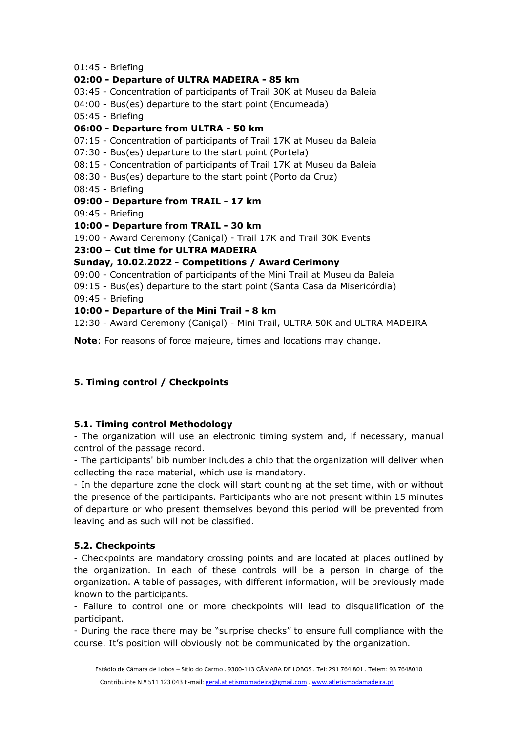01:45 - Briefing

## **02:00 - Departure of ULTRA MADEIRA - 85 km**

- 03:45 Concentration of participants of Trail 30K at Museu da Baleia
- 04:00 Bus(es) departure to the start point (Encumeada)
- 05:45 Briefing

## **06:00 - Departure from ULTRA - 50 km**

- 07:15 Concentration of participants of Trail 17K at Museu da Baleia
- 07:30 Bus(es) departure to the start point (Portela)
- 08:15 Concentration of participants of Trail 17K at Museu da Baleia
- 08:30 Bus(es) departure to the start point (Porto da Cruz)
- 08:45 Briefing
- **09:00 - Departure from TRAIL - 17 km**
- 09:45 Briefing
- **10:00 - Departure from TRAIL - 30 km**
- 19:00 Award Ceremony (Caniçal) Trail 17K and Trail 30K Events
- **23:00 – Cut time for ULTRA MADEIRA**

## **Sunday, 10.02.2022 - Competitions / Award Cerimony**

- 09:00 Concentration of participants of the Mini Trail at Museu da Baleia
- 09:15 Bus(es) departure to the start point (Santa Casa da Misericórdia)
- 09:45 Briefing

## **10:00 - Departure of the Mini Trail - 8 km**

12:30 - Award Ceremony (Caniçal) - Mini Trail, ULTRA 50K and ULTRA MADEIRA

**Note**: For reasons of force majeure, times and locations may change.

## **5. Timing control / Checkpoints**

## **5.1. Timing control Methodology**

- The organization will use an electronic timing system and, if necessary, manual control of the passage record.

- The participants' bib number includes a chip that the organization will deliver when collecting the race material, which use is mandatory.

- In the departure zone the clock will start counting at the set time, with or without the presence of the participants. Participants who are not present within 15 minutes of departure or who present themselves beyond this period will be prevented from leaving and as such will not be classified.

## **5.2. Checkpoints**

- Checkpoints are mandatory crossing points and are located at places outlined by the organization. In each of these controls will be a person in charge of the organization. A table of passages, with different information, will be previously made known to the participants.

- Failure to control one or more checkpoints will lead to disqualification of the participant.

- During the race there may be "surprise checks" to ensure full compliance with the course. It's position will obviously not be communicated by the organization.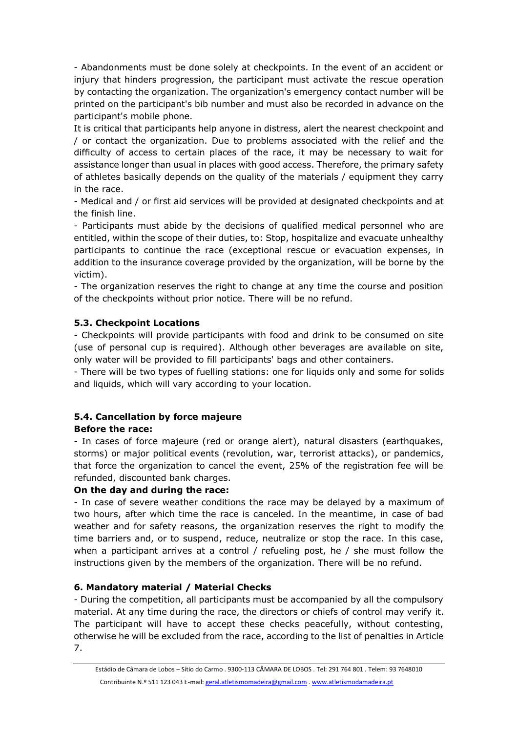- Abandonments must be done solely at checkpoints. In the event of an accident or injury that hinders progression, the participant must activate the rescue operation by contacting the organization. The organization's emergency contact number will be printed on the participant's bib number and must also be recorded in advance on the participant's mobile phone.

It is critical that participants help anyone in distress, alert the nearest checkpoint and / or contact the organization. Due to problems associated with the relief and the difficulty of access to certain places of the race, it may be necessary to wait for assistance longer than usual in places with good access. Therefore, the primary safety of athletes basically depends on the quality of the materials / equipment they carry in the race.

- Medical and / or first aid services will be provided at designated checkpoints and at the finish line.

- Participants must abide by the decisions of qualified medical personnel who are entitled, within the scope of their duties, to: Stop, hospitalize and evacuate unhealthy participants to continue the race (exceptional rescue or evacuation expenses, in addition to the insurance coverage provided by the organization, will be borne by the victim).

- The organization reserves the right to change at any time the course and position of the checkpoints without prior notice. There will be no refund.

## **5.3. Checkpoint Locations**

- Checkpoints will provide participants with food and drink to be consumed on site (use of personal cup is required). Although other beverages are available on site, only water will be provided to fill participants' bags and other containers.

- There will be two types of fuelling stations: one for liquids only and some for solids and liquids, which will vary according to your location.

#### **5.4. Cancellation by force majeure Before the race:**

- In cases of force majeure (red or orange alert), natural disasters (earthquakes, storms) or major political events (revolution, war, terrorist attacks), or pandemics, that force the organization to cancel the event, 25% of the registration fee will be refunded, discounted bank charges.

## **On the day and during the race:**

- In case of severe weather conditions the race may be delayed by a maximum of two hours, after which time the race is canceled. In the meantime, in case of bad weather and for safety reasons, the organization reserves the right to modify the time barriers and, or to suspend, reduce, neutralize or stop the race. In this case, when a participant arrives at a control / refueling post, he / she must follow the instructions given by the members of the organization. There will be no refund.

## **6. Mandatory material / Material Checks**

- During the competition, all participants must be accompanied by all the compulsory material. At any time during the race, the directors or chiefs of control may verify it. The participant will have to accept these checks peacefully, without contesting, otherwise he will be excluded from the race, according to the list of penalties in Article 7.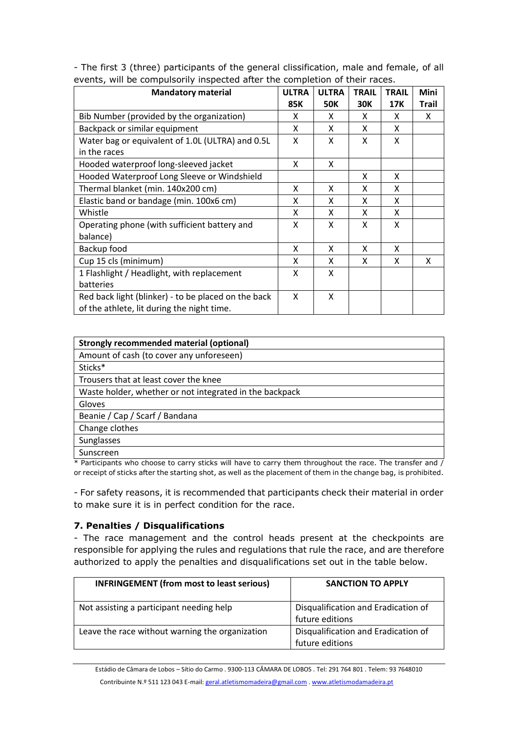- The first 3 (three) participants of the general clissification, male and female, of all events, will be compulsorily inspected after the completion of their races.

| <b>Mandatory material</b>                           | <b>ULTRA</b> | <b>ULTRA</b> | <b>TRAIL</b> | <b>TRAIL</b> | <b>Mini</b>  |
|-----------------------------------------------------|--------------|--------------|--------------|--------------|--------------|
|                                                     | 85K          | <b>50K</b>   | 30K          | 17K          | <b>Trail</b> |
| Bib Number (provided by the organization)           | X            | X            | X            | x            | x            |
| Backpack or similar equipment                       | X            | X            | X            | X            |              |
| Water bag or equivalent of 1.0L (ULTRA) and 0.5L    | X            | X            | X            | X            |              |
| in the races                                        |              |              |              |              |              |
| Hooded waterproof long-sleeved jacket               | X            | X            |              |              |              |
| Hooded Waterproof Long Sleeve or Windshield         |              |              | X            | X            |              |
| Thermal blanket (min. 140x200 cm)                   | X            | X            | X            | X            |              |
| Elastic band or bandage (min. 100x6 cm)             | x            | X            | x            | X            |              |
| Whistle                                             | x            | X            | X            | X            |              |
| Operating phone (with sufficient battery and        | x            | X            | x            | X            |              |
| balance)                                            |              |              |              |              |              |
| Backup food                                         | X            | X            | X            | X            |              |
| Cup 15 cls (minimum)                                | X            | X            | X            | X            | X            |
| 1 Flashlight / Headlight, with replacement          | X            | X            |              |              |              |
| batteries                                           |              |              |              |              |              |
| Red back light (blinker) - to be placed on the back | X            | X            |              |              |              |
| of the athlete, lit during the night time.          |              |              |              |              |              |

| Strongly recommended material (optional)                |
|---------------------------------------------------------|
| Amount of cash (to cover any unforeseen)                |
| Sticks*                                                 |
| Trousers that at least cover the knee                   |
| Waste holder, whether or not integrated in the backpack |
| Gloves                                                  |
| Beanie / Cap / Scarf / Bandana                          |
| Change clothes                                          |
| Sunglasses                                              |
| Sunscreen                                               |

\* Participants who choose to carry sticks will have to carry them throughout the race. The transfer and / or receipt of sticks after the starting shot, as well as the placement of them in the change bag, is prohibited.

- For safety reasons, it is recommended that participants check their material in order to make sure it is in perfect condition for the race.

## **7. Penalties / Disqualifications**

- The race management and the control heads present at the checkpoints are responsible for applying the rules and regulations that rule the race, and are therefore authorized to apply the penalties and disqualifications set out in the table below.

| <b>INFRINGEMENT (from most to least serious)</b> | <b>SANCTION TO APPLY</b>                               |
|--------------------------------------------------|--------------------------------------------------------|
| Not assisting a participant needing help         | Disqualification and Eradication of<br>future editions |
| Leave the race without warning the organization  | Disqualification and Eradication of<br>future editions |

Estádio de Câmara de Lobos – Sítio do Carmo . 9300-113 CÂMARA DE LOBOS . Tel: 291 764 801 . Telem: 93 7648010 Contribuinte N.º 511 123 043 E-mail[: geral.atletismomadeira@gmail.com](mailto:geral.atletismomadeira@gmail.com) [. www.atletismodamadeira.pt](http://www.atletismodamadeira.pt/)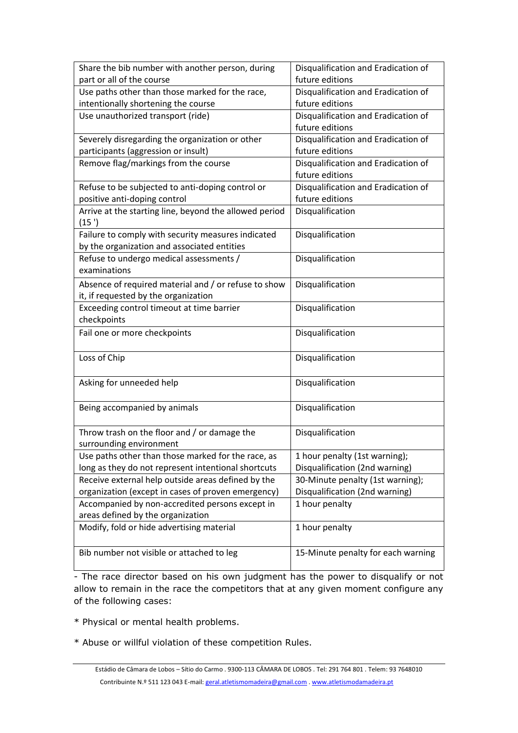| Share the bib number with another person, during       | Disqualification and Eradication of |
|--------------------------------------------------------|-------------------------------------|
| part or all of the course                              | future editions                     |
| Use paths other than those marked for the race,        | Disqualification and Eradication of |
| intentionally shortening the course                    | future editions                     |
| Use unauthorized transport (ride)                      | Disqualification and Eradication of |
|                                                        | future editions                     |
| Severely disregarding the organization or other        | Disqualification and Eradication of |
| participants (aggression or insult)                    | future editions                     |
| Remove flag/markings from the course                   | Disqualification and Eradication of |
|                                                        | future editions                     |
| Refuse to be subjected to anti-doping control or       | Disqualification and Eradication of |
| positive anti-doping control                           | future editions                     |
| Arrive at the starting line, beyond the allowed period | Disqualification                    |
| (15')                                                  |                                     |
| Failure to comply with security measures indicated     | Disqualification                    |
| by the organization and associated entities            |                                     |
| Refuse to undergo medical assessments /                | Disqualification                    |
| examinations                                           |                                     |
| Absence of required material and / or refuse to show   | Disqualification                    |
| it, if requested by the organization                   |                                     |
| Exceeding control timeout at time barrier              | Disqualification                    |
| checkpoints                                            |                                     |
| Fail one or more checkpoints                           | Disqualification                    |
|                                                        |                                     |
| Loss of Chip                                           | Disqualification                    |
|                                                        |                                     |
| Asking for unneeded help                               | Disqualification                    |
|                                                        |                                     |
| Being accompanied by animals                           | Disqualification                    |
|                                                        |                                     |
| Throw trash on the floor and / or damage the           | Disqualification                    |
| surrounding environment                                |                                     |
| Use paths other than those marked for the race, as     | 1 hour penalty (1st warning);       |
| long as they do not represent intentional shortcuts    | Disqualification (2nd warning)      |
| Receive external help outside areas defined by the     | 30-Minute penalty (1st warning);    |
| organization (except in cases of proven emergency)     | Disqualification (2nd warning)      |
| Accompanied by non-accredited persons except in        | 1 hour penalty                      |
| areas defined by the organization                      |                                     |
| Modify, fold or hide advertising material              | 1 hour penalty                      |
|                                                        |                                     |
| Bib number not visible or attached to leg              | 15-Minute penalty for each warning  |
|                                                        |                                     |

- The race director based on his own judgment has the power to disqualify or not allow to remain in the race the competitors that at any given moment configure any of the following cases:

\* Physical or mental health problems.

\* Abuse or willful violation of these competition Rules.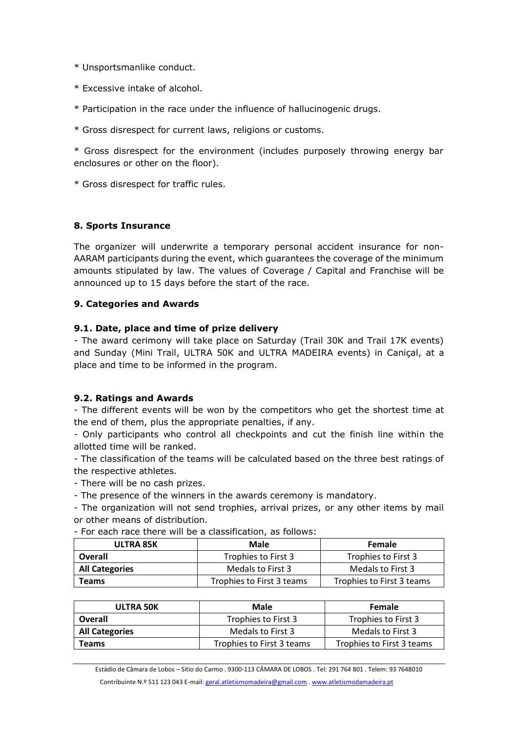- \* Unsportsmanlike conduct.
- \* Excessive intake of alcohol.
- \* Participation in the race under the influence of hallucinogenic drugs.
- \* Gross disrespect for current laws, religions or customs.

\* Gross disrespect for the environment (includes purposely throwing energy bar enclosures or other on the floor).

\* Gross disrespect for traffic rules.

## **8. Sports Insurance**

The organizer will underwrite a temporary personal accident insurance for non-AARAM participants during the event, which guarantees the coverage of the minimum amounts stipulated by law. The values of Coverage / Capital and Franchise will be announced up to 15 days before the start of the race.

#### **9. Categories and Awards**

#### **9.1. Date, place and time of prize delivery**

- The award cerimony will take place on Saturday (Trail 30K and Trail 17K events) and Sunday (Mini Trail, ULTRA 50K and ULTRA MADEIRA events) in Caniçal, at a place and time to be informed in the program.

#### **9.2. Ratings and Awards**

- The different events will be won by the competitors who get the shortest time at the end of them, plus the appropriate penalties, if any.

- Only participants who control all checkpoints and cut the finish line within the allotted time will be ranked.

- The classification of the teams will be calculated based on the three best ratings of the respective athletes.

- There will be no cash prizes.

- The presence of the winners in the awards ceremony is mandatory.

- The organization will not send trophies, arrival prizes, or any other items by mail or other means of distribution.

- For each race there will be a classification, as follows:

| ULTRA 85K             | Male                      | <b>Female</b>             |
|-----------------------|---------------------------|---------------------------|
| Overall               | Trophies to First 3       | Trophies to First 3       |
| <b>All Categories</b> | Medals to First 3         | Medals to First 3         |
| Teams                 | Trophies to First 3 teams | Trophies to First 3 teams |

| <b>ULTRA 50K</b>      | Male                      | Female                    |
|-----------------------|---------------------------|---------------------------|
| Overall               | Trophies to First 3       | Trophies to First 3       |
| <b>All Categories</b> | Medals to First 3         | Medals to First 3         |
| <b>Teams</b>          | Trophies to First 3 teams | Trophies to First 3 teams |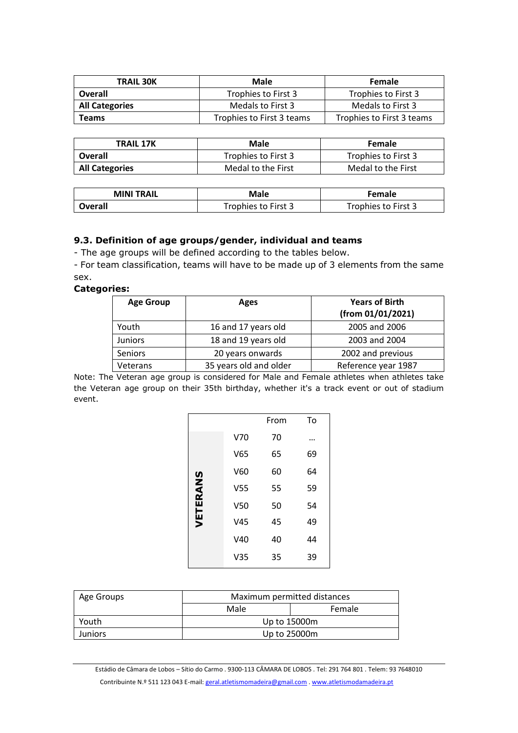| <b>TRAIL 30K</b>      | Male                      | <b>Female</b>             |  |
|-----------------------|---------------------------|---------------------------|--|
| Overall               | Trophies to First 3       | Trophies to First 3       |  |
| <b>All Categories</b> | Medals to First 3         | Medals to First 3         |  |
| Teams                 | Trophies to First 3 teams | Trophies to First 3 teams |  |

| TRAIL 17K             | <b>Male</b>         | <b>Female</b>       |
|-----------------------|---------------------|---------------------|
| Overall               | Trophies to First 3 | Trophies to First 3 |
| <b>All Categories</b> | Medal to the First  | Medal to the First  |

| <b>MINI TRAIL</b> | Male                | <b>Female</b>       |  |
|-------------------|---------------------|---------------------|--|
| <b>Overall</b>    | Trophies to First 3 | Trophies to First 3 |  |

#### **9.3. Definition of age groups/gender, individual and teams**

- The age groups will be defined according to the tables below.

- For team classification, teams will have to be made up of 3 elements from the same sex.

#### **Categories:**

| <b>Age Group</b> | Ages                   | <b>Years of Birth</b><br>(from 01/01/2021) |
|------------------|------------------------|--------------------------------------------|
| Youth            | 16 and 17 years old    | 2005 and 2006                              |
| <b>Juniors</b>   | 18 and 19 years old    | 2003 and 2004                              |
| <b>Seniors</b>   | 20 years onwards       | 2002 and previous                          |
| Veterans         | 35 years old and older | Reference year 1987                        |

Note: The Veteran age group is considered for Male and Female athletes when athletes take the Veteran age group on their 35th birthday, whether it's a track event or out of stadium event.

|          |                 | From | To |
|----------|-----------------|------|----|
|          | V70             | 70   | .  |
|          | V65             | 65   | 69 |
|          | V60             | 60   | 64 |
| VETERANS | V <sub>55</sub> | 55   | 59 |
|          | V <sub>50</sub> | 50   | 54 |
|          | V45             | 45   | 49 |
|          | V40             | 40   | 44 |
|          | V <sub>35</sub> | 35   | 39 |

| Age Groups     | Maximum permitted distances |        |  |
|----------------|-----------------------------|--------|--|
|                | Male                        | Female |  |
| Youth          | Up to 15000m                |        |  |
| <b>Juniors</b> | Up to 25000m                |        |  |

Estádio de Câmara de Lobos – Sítio do Carmo . 9300-113 CÂMARA DE LOBOS . Tel: 291 764 801 . Telem: 93 7648010 Contribuinte N.º 511 123 043 E-mail[: geral.atletismomadeira@gmail.com](mailto:geral.atletismomadeira@gmail.com) [. www.atletismodamadeira.pt](http://www.atletismodamadeira.pt/)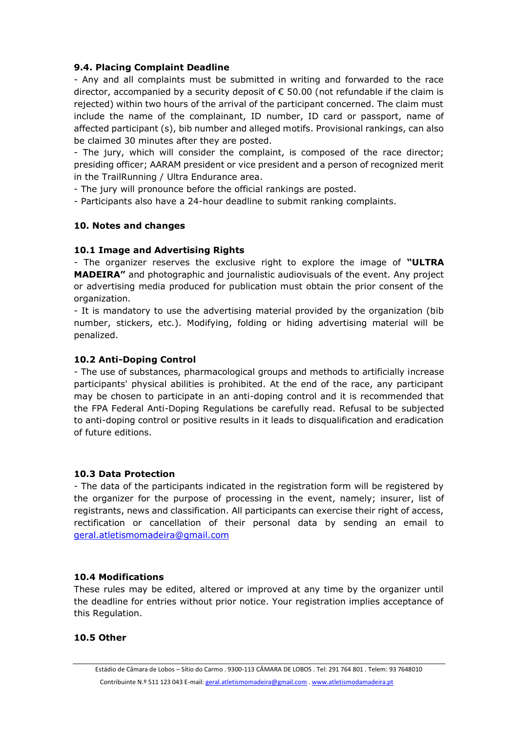#### **9.4. Placing Complaint Deadline**

- Any and all complaints must be submitted in writing and forwarded to the race director, accompanied by a security deposit of  $\epsilon$  50.00 (not refundable if the claim is rejected) within two hours of the arrival of the participant concerned. The claim must include the name of the complainant, ID number, ID card or passport, name of affected participant (s), bib number and alleged motifs. Provisional rankings, can also be claimed 30 minutes after they are posted.

- The jury, which will consider the complaint, is composed of the race director; presiding officer; AARAM president or vice president and a person of recognized merit in the TrailRunning / Ultra Endurance area.

- The jury will pronounce before the official rankings are posted.

- Participants also have a 24-hour deadline to submit ranking complaints.

#### **10. Notes and changes**

#### **10.1 Image and Advertising Rights**

- The organizer reserves the exclusive right to explore the image of **"ULTRA MADEIRA"** and photographic and journalistic audiovisuals of the event. Any project or advertising media produced for publication must obtain the prior consent of the organization.

- It is mandatory to use the advertising material provided by the organization (bib number, stickers, etc.). Modifying, folding or hiding advertising material will be penalized.

#### **10.2 Anti-Doping Control**

- The use of substances, pharmacological groups and methods to artificially increase participants' physical abilities is prohibited. At the end of the race, any participant may be chosen to participate in an anti-doping control and it is recommended that the FPA Federal Anti-Doping Regulations be carefully read. Refusal to be subjected to anti-doping control or positive results in it leads to disqualification and eradication of future editions.

#### **10.3 Data Protection**

- The data of the participants indicated in the registration form will be registered by the organizer for the purpose of processing in the event, namely; insurer, list of registrants, news and classification. All participants can exercise their right of access, rectification or cancellation of their personal data by sending an email to [geral.atletismomadeira@gmail.com](mailto:geral.atletismomadeira@gmail.com)

#### **10.4 Modifications**

These rules may be edited, altered or improved at any time by the organizer until the deadline for entries without prior notice. Your registration implies acceptance of this Regulation.

#### **10.5 Other**